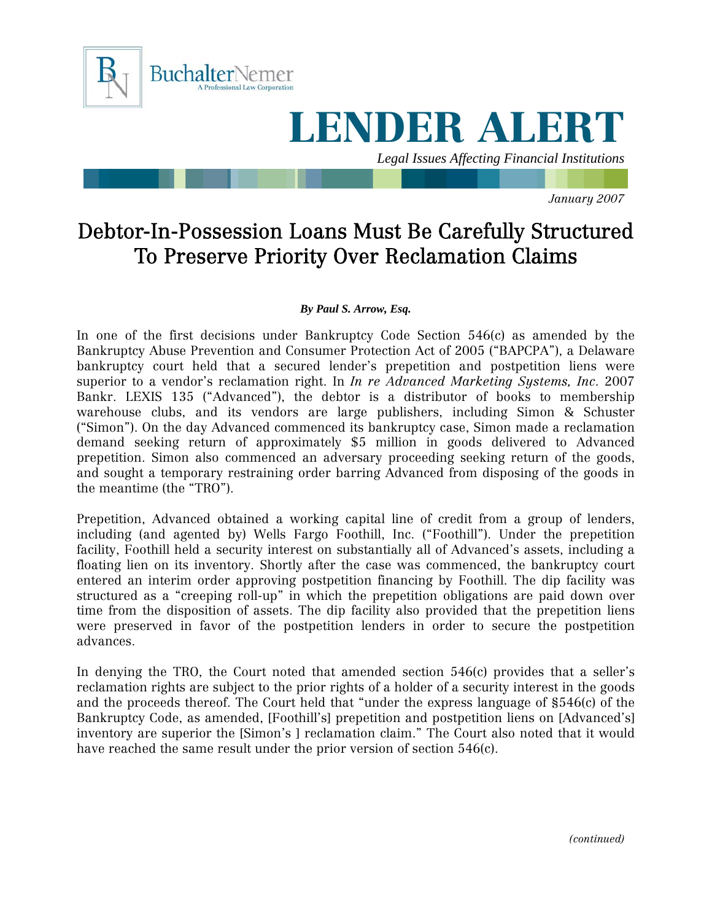

## LENDER ALERT

*Legal Issues Affecting Financial Institutions* 

*January 2007* 

## Debtor-In-Possession Loans Must Be Carefully Structured To Preserve Priority Over Reclamation Claims

## *By Paul S. Arrow, Esq.*

In one of the first decisions under Bankruptcy Code Section 546(c) as amended by the Bankruptcy Abuse Prevention and Consumer Protection Act of 2005 ("BAPCPA"), a Delaware bankruptcy court held that a secured lender's prepetition and postpetition liens were superior to a vendor's reclamation right. In *In re Advanced Marketing Systems, Inc*. 2007 Bankr. LEXIS 135 ("Advanced"), the debtor is a distributor of books to membership warehouse clubs, and its vendors are large publishers, including Simon & Schuster ("Simon"). On the day Advanced commenced its bankruptcy case, Simon made a reclamation demand seeking return of approximately \$5 million in goods delivered to Advanced prepetition. Simon also commenced an adversary proceeding seeking return of the goods, and sought a temporary restraining order barring Advanced from disposing of the goods in the meantime (the "TRO").

Prepetition, Advanced obtained a working capital line of credit from a group of lenders, including (and agented by) Wells Fargo Foothill, Inc. ("Foothill"). Under the prepetition facility, Foothill held a security interest on substantially all of Advanced's assets, including a floating lien on its inventory. Shortly after the case was commenced, the bankruptcy court entered an interim order approving postpetition financing by Foothill. The dip facility was structured as a "creeping roll-up" in which the prepetition obligations are paid down over time from the disposition of assets. The dip facility also provided that the prepetition liens were preserved in favor of the postpetition lenders in order to secure the postpetition advances.

In denying the TRO, the Court noted that amended section 546(c) provides that a seller's reclamation rights are subject to the prior rights of a holder of a security interest in the goods and the proceeds thereof. The Court held that "under the express language of §546(c) of the Bankruptcy Code, as amended, [Foothill's] prepetition and postpetition liens on [Advanced's] inventory are superior the [Simon's ] reclamation claim." The Court also noted that it would have reached the same result under the prior version of section 546(c).